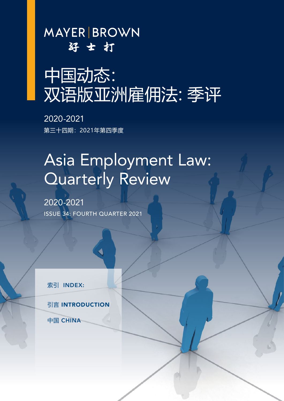**MAYER BROWN** 好士打

# 中国动态: 双语版亚洲雇佣法:季评

2020-2021 第三十四期:2021年第四季度

# Asia Employment Law: Quarterly Review

2020-2021 ISSUE 34: FOURTH QUARTER 2021

索引 INDEX:

**引言 INTRODUCTION** 

中国 CHINA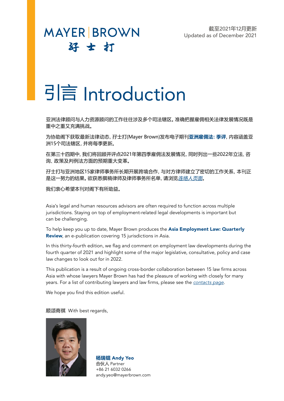截至2021年12月更新 Updated as of December 2021

# **MAYER BROWN** 好士打

# **引言 Introduction**

亚洲法律顾问与人力资源顾问的工作往往涉及多个司法辖区。准确把握雇佣相关法律发展情况既是 重中之重又充满挑战。

为协助阁下获取最新法律动态,孖士打(Mayer Brown)发布电子期刊**亚洲雇佣法:季评**,内容涵盖亚 洲15个司法辖区,并将每季更新。

在第三十四期中,我们将回顾并评点2021年第四季雇佣法发展情况,同时列出一些2022年立法、咨 询、政策及判例法方面的预期重大变革。

孖士打与亚洲地区15家律师事务所长期开展跨境合作,与对方律师建立了密切的工作关系,本刊正 是这一努力的结果。欲获悉撰稿律师及律师事务所名单,请浏览[连络人页面](#page-4-0)。

我们衷心希望本刊对阁下有所助益。

Asia's legal and human resources advisors are often required to function across multiple jurisdictions. Staying on top of employment-related legal developments is important but can be challenging.

To help keep you up to date, Mayer Brown produces the Asia Employment Law: Quarterly Review, an e-publication covering 15 jurisdictions in Asia.

In this thirty-fourth edition, we flag and comment on employment law developments during the fourth quarter of 2021 and highlight some of the major legislative, consultative, policy and case law changes to look out for in 2022.

This publication is a result of ongoing cross-border collaboration between 15 law firms across Asia with whose lawyers Mayer Brown has had the pleasure of working with closely for many years. For a list of contributing lawyers and law firms, please see the *[contacts page](#page-4-0)*.

We hope you find this edition useful.

#### 顺颂商祺 With best regards,



**杨瑞锟** Andy Yeo 合伙人 Partner +86 21 6032 0266 andy.yeo@mayerbrown.com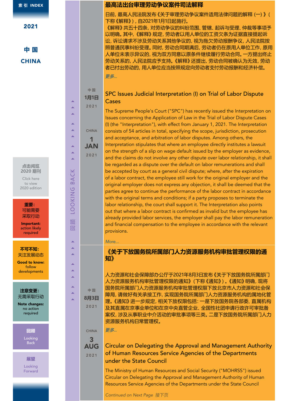2021

**中 国 CHINA** 

#### **点击阅览 2020 期刊**

Click here to view 2020 edition

**重要:** 可能需要 采取行动 444 444 444 回 顾 LOOKING BACK 444 444 444

顺 回

> ◢ Ä A

> ◢

◢ Ā

**LOOKING** 

**BACK** 

Â Ä ◢

A

∡ Ä ▲

中 国

CHINA 1 JAN 2021

Important: action likely required

**不可不知:** 关注发展动态

Good to know: follow developments

**注意变更:** 无需采取行动

Note changes: no action required

# **回顾**

Looking Back

**展望** Looking Forward

# **最高法出台审理劳动争议案件司法解释**

日前,最高人民法院发布《关于审理劳动争议案件适用法律问题的解释(一)》( 下称《解释》),自2021年1月1日起施行。

《解释》共五十四条,对劳动争议的纠纷范围、管辖、起诉与受理、仲裁等事项予 以明确。其中,《解释》规定,劳动者以用人单位的工资欠条为证据直接提起诉 讼,诉讼请求不涉及劳动关系其他争议的,视为拖欠劳动报酬争议,人民法院按 照普通民事纠纷受理。同时,劳动合同期满后,劳动者仍在原用人单位工作,原用 人单位未表示异议的,视为双方同意以原条件继续履行劳动合同。一方提出终止 劳动关系的,人民法院应予支持。《解释》还提出,劳动合同被确认为无效,劳动 者已付出劳动的,用人单位应当按照规定向劳动者支付劳动报酬和经济补偿。 [更多...](http://www.court.gov.cn/fabu-xiangqing-282121.html)

#### **1月1日** 2021 SPC Issues Judicial Interpretation (I) on Trial of Labor Dispute **Cases**

The Supreme People's Court ("SPC") has recently issued the Interpretation on Issues concerning the Application of Law in the Trial of Labor Dispute Cases (I) (the "Interpretation"), with effect from January 1, 2021. The Interpretation consists of 54 articles in total, specifying the scope, jurisdiction, prosecution and acceptance, and arbitration of labor disputes. Among others, the Interpretation stipulates that where an employee directly institutes a lawsuit on the strength of a slip on wage default issued by the employer as evidence, and the claims do not involve any other dispute over labor relationship, it shall be regarded as a dispute over the default on labor remunerations and shall be accepted by court as a general civil dispute; where, after the expiration of a labor contract, the employee still work for the original employer and the original employer does not express any objection, it shall be deemed that the parties agree to continue the performance of the labor contract in accordance with the original terms and conditions; if a party proposes to terminate the labor relationship, the court shall support it. The Interpretation also points out that where a labor contract is confirmed as invalid but the employee has already provided labor services, the employer shall pay the labor remuneration and financial compensation to the employee in accordance with the relevant provisions.

#### *[More...](http://www.court.gov.cn/fabu-xiangqing-282121.html)*

# **《关于下放国务院所属部门人力资源服务机构审批管理权限的通 知》**

人力资源和社会保障部办公厅于2021年8月3日发布《关于下放国务院所属部门 人力资源服务机构审批管理权限的通知》(下称《通知》)。《通知》明确,现将 国务院所属部门人力资源服务机构审批管理权限下放北京市人力资源和社会保 障局,请做好有关承接工作,实现国务院所属部门人力资源服务机构的属地化管 理。《通知》进一步规定,相关下放权限包括:一是下放国务院各部委、直属机构 及其直属在京事业单位和在京中央直管企业、全国性社团申请行政许可审批备 案权,涉及从事职业中介活动的审批事项等三类。二是下放国务院所属部门人力 资源服务机构日常管理权。

[更多...](http://www.mohrss.gov.cn/SYrlzyhshbzb/jiuye/zcwj/202108/t20210803_419942.html)

中 国 **8月3日** 2021

> CHINA 3

#### AUG 2021 Circular on Delegating the Approval and Management Authority of Human Resources Service Agencies of the Departments under the State Council

The Ministry of Human Resources and Social Security ("MOHRSS") issued Circular on Delegating the Approval and Management Authority of Human Resources Service Agencies of the Departments under the State Council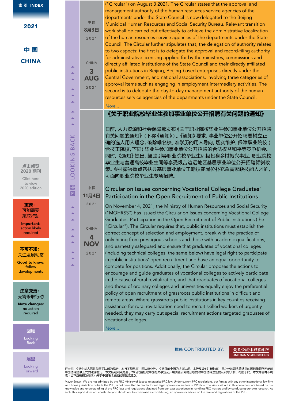**索 引** INDEX

| ٧ |  |
|---|--|
|---|--|

**中 国 CHINA** 

#### **点击阅览 2020 期刊**

444 444 444 回 顾 LOOKING BACK 444 444 444

顺 回

> Â ∡  $\blacktriangle$

> Â  $\overline{\phantom{a}}$ Ä

> ∡ A

**DOKING** 

BACK

 $\blacktriangle$ Ā

> Ā Ä

∡ Ä 中 国

2021

CHINA 3

2021

中 国

2021

CHINA 4 **NOV** 2021

Click here to view 2020 edition

**重要:** 可能需要 采取行动

Important: action likely required

**不可不知:** 关注发展动态

Good to know: follow developments

**注意变更:** 无需采取行动

Note changes: no action required

**回顾**

Looking Back

**展望**

Looking Forward **8月3日** AUG ("Circular") on August 3 2021. The Circular states that the approval and management authority of the human resources service agencies of the departments under the State Council is now delegated to the Beijing Municipal Human Resources and Social Security Bureau. Relevant transition work shall be carried out effectively to achieve the administrative localization of the human resources service agencies of the departments under the State Council. The Circular further stipulates that, the delegation of authority relates to two aspects: the first is to delegate the approval and record-filing authority for administrative licensing applied for by the ministries, commissions and directly affiliated institutions of the State Council and their directly affiliated public institutions in Beijing, Beijing-based enterprises directly under the Central Government, and national associations, involving three categories of approval items such as engaging in employment intermediary activities. The second is to delegate the day-to-day management authority of the human resources service agencies of the departments under the State Council. *[More...](http://www.mohrss.gov.cn/SYrlzyhshbzb/jiuye/zcwj/202108/t20210803_419942.html)*

### **《关于职业院校毕业生参加事业单位公开招聘有关问题的通知》**

日前,人力资源和社会保障部发布《关于职业院校毕业生参加事业单位公开招聘 有关问题的通知》(下称《通知》)。《通知》要求,事业单位公开招聘要树立正 确的选人用人理念,破除唯名校、唯学历的用人导向,切实维护、保障职业院校( 含技工院校,下同)毕业生参加事业单位公开招聘的合法权益和平等竞争机会。 同时,《通知》提出,鼓励引导职业院校毕业生积极投身乡村振兴事业,职业院校 毕业生与普通高校毕业生同等享受艰苦边远地区基层事业单位公开招聘倾斜政 策。乡村振兴重点帮扶县基层事业单位工勤技能岗位补充急需紧缺技能人才的, 可面向职业院校毕业生专项招聘。

#### **11月4日** Circular on Issues concerning Vocational College Graduates' Participation in the Open Recruitment of Public Institutions

On November 4, 2021, the Ministry of Human Resources and Social Security ("MOHRSS") has issued the Circular on Issues concerning Vocational College Graduates' Participation in the Open Recruitment of Public Institutions (the "Circular"). The Circular requires that, public institutions must establish the correct concept of selection and employment, break with the practice of only hiring from prestigious schools and those with academic qualifications, and earnestly safeguard and ensure that graduates of vocational colleges (including technical colleges, the same below) have legal right to participate in public institutions' open recruitment and have an equal opportunity to compete for positions. Additionally, the Circular proposes the actions to encourage and guide graduates of vocational colleges to actively participate in the cause of rural revitalization, and that graduates of vocational colleges and those of ordinary colleges and universities equally enjoy the preferential policy of open recruitment of grassroots public institutions in difficult and remote areas. Where grassroots public institutions in key counties receiving assistance for rural revitalization need to recruit skilled workers of urgently needed, they may carry out special recruitment actions targeted graduates of vocational colleges.

*[More...](http://www.mohrss.gov.cn/xxgk2020/fdzdgknr/zcfg/gfxwj/rcrs/202111/t20211102_426608.html)*

#### 撰稿 CONTRIBUTED BY:

#### 競天公誠律師事務所 **JINGTIAN & GONGCHENG**

孖士打: 根据中华人民共和国司法部的规定,本行不能从事中国法律业务,根据目前中国的法律法规,本行及其他注册地在中国之外的司法管辖区的国际律师行不能就<br>中国法律提供正式的法律意见。本文所载观点是基于本行此前处理中国有关事宜及开展调查研究时获取的对中国法律法规的认识与了解。有鉴于此,本文内容并不构<br>成(也不应被视为构成)关于中国法律法规的意见或建议。

Mayer Brown: We are not admitted by the PRC Ministry of Justice to practise PRC law. Under current PRC regulations, our firm as with any other international law firm with home jurisdiction outside the PRC, is not permitted to render formal legal opinion on matters of PRC law. The views set out in this document are based on our<br>knowledge and understanding of the PRC laws and regulations such, this report does not constitute (and should not be construed as constituting) an opinion or advice on the laws and regulations of the PRC.